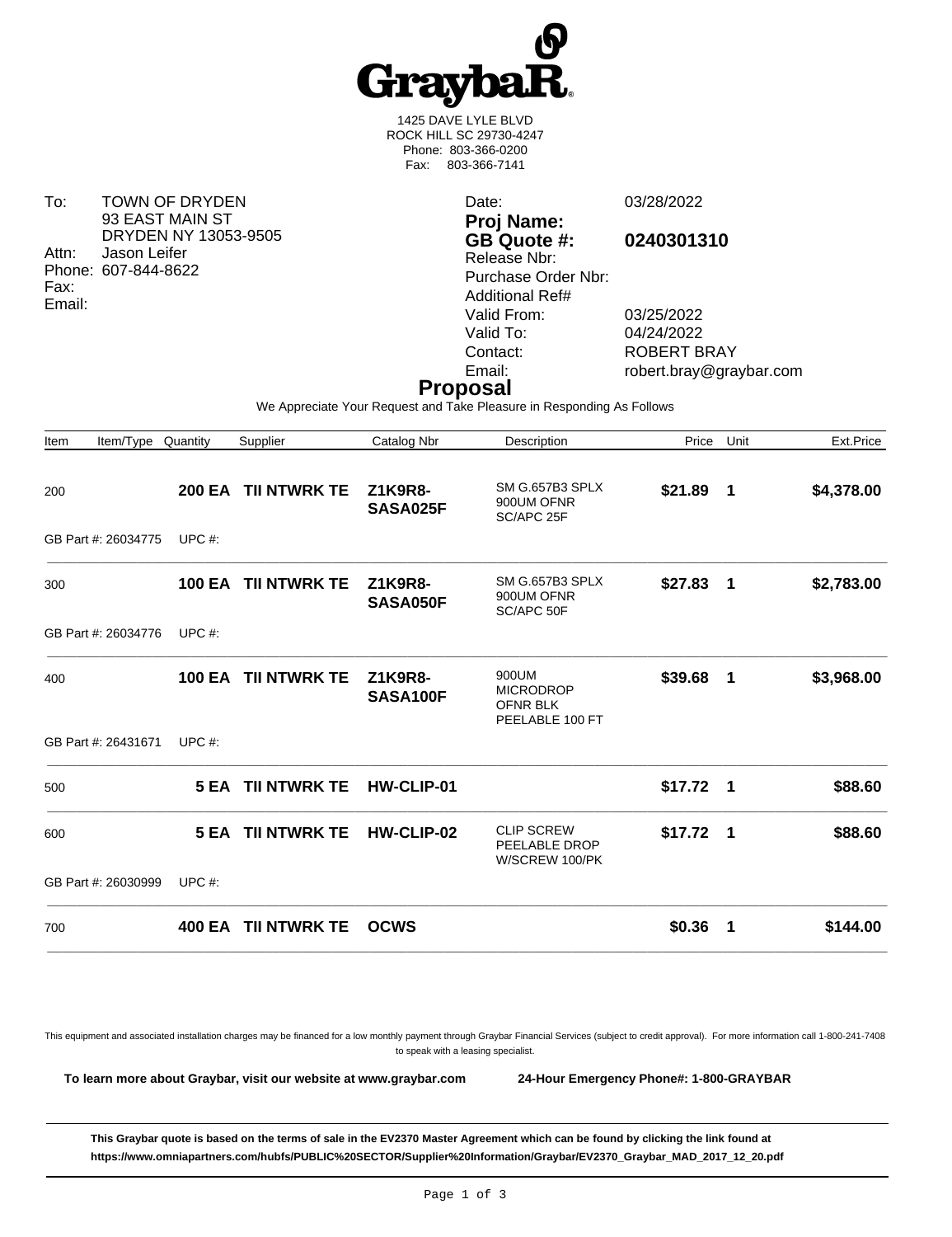

1425 DAVE LYLE BLVD ROCK HILL SC 29730-4247 Phone: 803-366-0200 Fax: 803-366-7141

To: TOWN OF DRYDEN 93 EAST MAIN ST DRYDEN NY 13053-9505 Attn: Jason Leifer Phone: 607-844-8622 Fax: Email:

Date: 03/28/2022 **Proj Name: GB Quote #: 0240301310** Release Nbr: Purchase Order Nbr: Additional Ref# Valid From: 03/25/2022<br>Valid To: 04/24/2022 Valid To: 04/24/2022<br>Contact: ROBERT B

ROBERT BRAY Email: robert.bray@graybar.com

## **Proposal**

We Appreciate Your Request and Take Pleasure in Responding As Follows

| Item/Type Quantity<br>Item |               | Supplier                 | Catalog Nbr         | Description                                                     | Price      | Unit           | Ext.Price  |
|----------------------------|---------------|--------------------------|---------------------|-----------------------------------------------------------------|------------|----------------|------------|
| 200                        | <b>200 EA</b> | <b>TII NTWRK TE</b>      | Z1K9R8-<br>SASA025F | SM G.657B3 SPLX<br>900UM OFNR<br>SC/APC 25F                     | \$21.89    | $\blacksquare$ | \$4,378.00 |
| GB Part #: 26034775        | UPC $#$ :     |                          |                     |                                                                 |            |                |            |
| 300                        | <b>100 EA</b> | <b>TII NTWRK TE</b>      | Z1K9R8-<br>SASA050F | SM G.657B3 SPLX<br>900UM OFNR<br>SC/APC 50F                     | \$27.83    | $\blacksquare$ | \$2,783.00 |
| GB Part #: 26034776        | UPC $#$ :     |                          |                     |                                                                 |            |                |            |
| 400                        | <b>100 EA</b> | <b>TII NTWRK TE</b>      | Z1K9R8-<br>SASA100F | 900UM<br><b>MICRODROP</b><br><b>OFNR BLK</b><br>PEELABLE 100 FT | \$39.68    | $\blacksquare$ | \$3,968.00 |
| GB Part #: 26431671        | UPC $#$ :     |                          |                     |                                                                 |            |                |            |
| 500                        |               | <b>5 EA TII NTWRK TE</b> | HW-CLIP-01          |                                                                 | $$17.72$ 1 |                | \$88.60    |
| 600                        |               | <b>5 EA TII NTWRK TE</b> | HW-CLIP-02          | <b>CLIP SCREW</b><br>PEELABLE DROP<br>W/SCREW 100/PK            | \$17.72    | - 1            | \$88.60    |
| GB Part #: 26030999        | UPC $#$ :     |                          |                     |                                                                 |            |                |            |
| 700                        | 400 EA        | <b>TII NTWRK TE</b>      | <b>OCWS</b>         |                                                                 | \$0.36     | -1             | \$144.00   |

This equipment and associated installation charges may be financed for a low monthly payment through Graybar Financial Services (subject to credit approval). For more information call 1-800-241-7408 to speak with a leasing specialist.

**To learn more about Graybar, visit our website at [www.graybar.com](18 0 R) 24-Hour Emergency Phone#: 1-800-GRAYBAR**

**This Graybar quote is based on the terms of sale in the EV2370 Master Agreement which can be found by clicking the link found at [https://www.omniapartners.com/hubfs/PUBLIC%20SECTOR/Supplier%20Information/Graybar/EV2370\\_Graybar\\_MAD\\_2017\\_12\\_20.pdf](11 0 R)**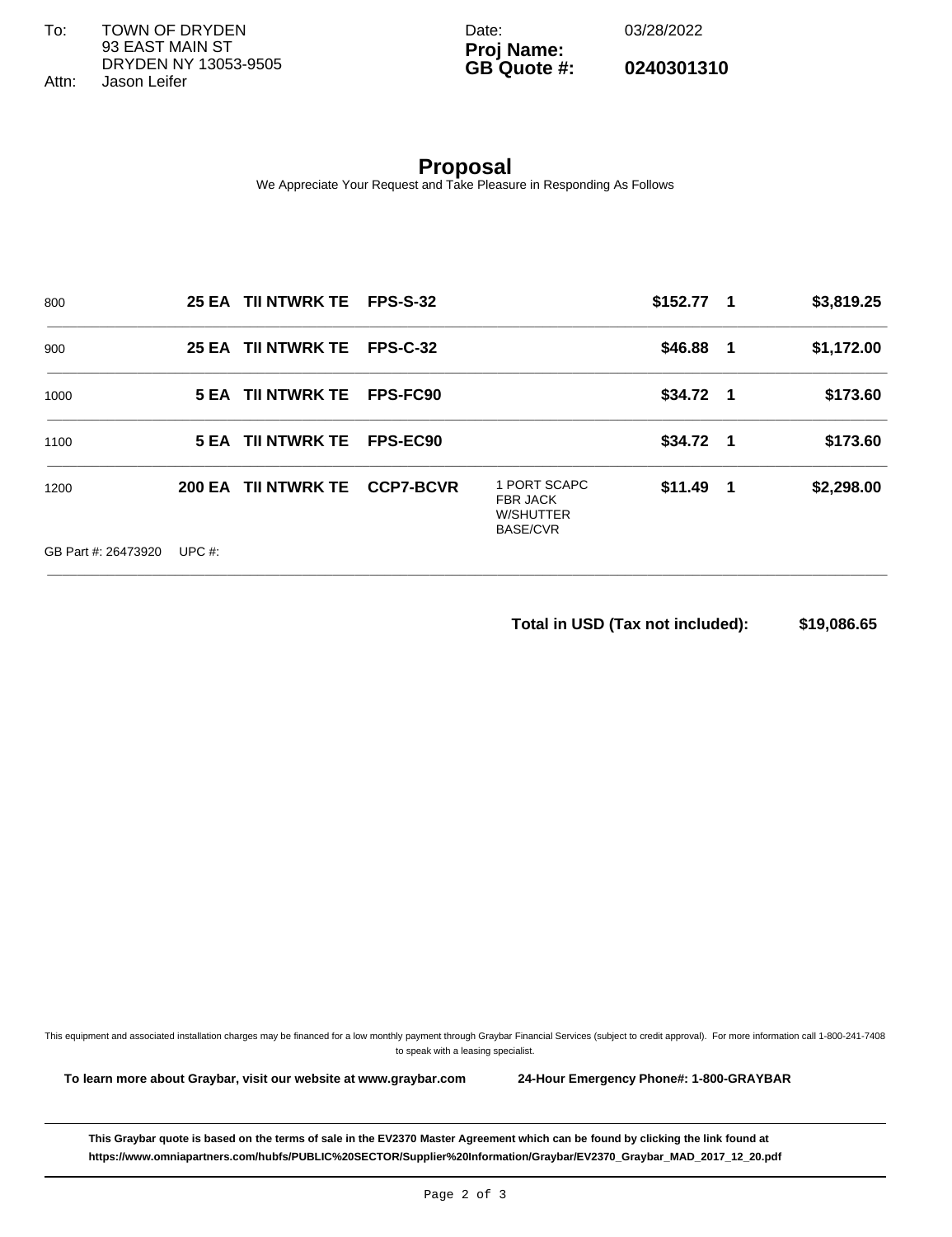To: TOWN OF DRYDEN 93 EAST MAIN ST DRYDEN NY 13053-9505 Attn: Jason Leifer

Date: 03/28/2022

## **Proj Name: GB Quote #: 0240301310**

**Proposal** We Appreciate Your Request and Take Pleasure in Responding As Follows

| 800                 |           | 25 EA TII NTWRK TE FPS-S-32 |                  |                                                                 | $$152.77$ 1 | \$3,819.25 |
|---------------------|-----------|-----------------------------|------------------|-----------------------------------------------------------------|-------------|------------|
| 900                 |           | 25 EA TII NTWRK TE          | <b>FPS-C-32</b>  |                                                                 | $$46.88$ 1  | \$1,172.00 |
| 1000                |           | 5 EA TII NTWRK TE           | FPS-FC90         |                                                                 | $$34.72$ 1  | \$173.60   |
| 1100                |           | 5 EA TII NTWRK TE           | FPS-EC90         |                                                                 | $$34.72$ 1  | \$173.60   |
| 1200                |           | 200 EA TII NTWRK TE         | <b>CCP7-BCVR</b> | 1 PORT SCAPC<br><b>FBR JACK</b><br>W/SHUTTER<br><b>BASE/CVR</b> | $$11.49$ 1  | \$2,298.00 |
| GB Part #: 26473920 | UPC $#$ : |                             |                  |                                                                 |             |            |

**Total in USD (Tax not included): \$19,086.65** 

This equipment and associated installation charges may be financed for a low monthly payment through Graybar Financial Services (subject to credit approval). For more information call 1-800-241-7408 to speak with a leasing specialist.

**To learn more about Graybar, visit our website at [www.graybar.com](31 0 R) 24-Hour Emergency Phone#: 1-800-GRAYBAR**

**This Graybar quote is based on the terms of sale in the EV2370 Master Agreement which can be found by clicking the link found at [https://www.omniapartners.com/hubfs/PUBLIC%20SECTOR/Supplier%20Information/Graybar/EV2370\\_Graybar\\_MAD\\_2017\\_12\\_20.pdf](25 0 R)**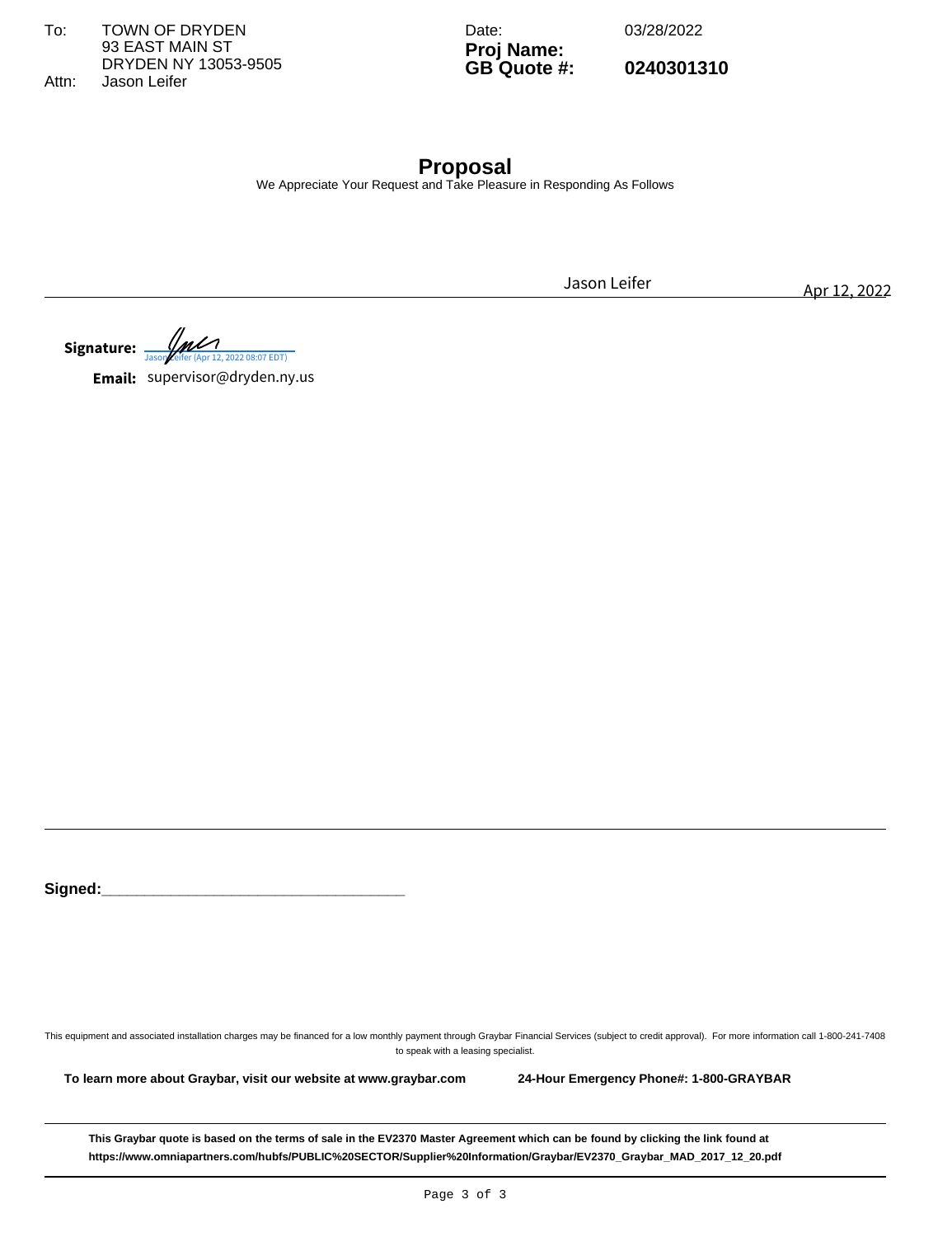To: TOWN OF DRYDEN 93 EAST MAIN ST DRYDEN NY 13053-9505 Attn: Jason Leifer

Date: 03/28/2022

**Proj Name: GB Quote #: 0240301310**

**Proposal** We Appreciate Your Request and Take Pleasure in Responding As Follows

**Signature:**  $\frac{1}{\sqrt{2000 \text{ Keifer (Apr 12, 2022 08:07 EDT)}}$ Jason Leifer Apr 12, 2022<br> *Jason Leifer* Apr 12, 2022<br> *Jason Leifer* (Apr 12, 2022 08:07 EDT)

**Email:** supervisor@dryden.ny.us

Signed:

This equipment and associated installation charges may be financed for a low monthly payment through Graybar Financial Services (subject to credit approval). For more information call 1-800-241-7408 to speak with a leasing specialist.

**To learn more about Graybar, visit our website at [www.graybar.com](44 0 R) 24-Hour Emergency Phone#: 1-800-GRAYBAR**

**This Graybar quote is based on the terms of sale in the EV2370 Master Agreement which can be found by clicking the link found at [https://www.omniapartners.com/hubfs/PUBLIC%20SECTOR/Supplier%20Information/Graybar/EV2370\\_Graybar\\_MAD\\_2017\\_12\\_20.pdf](38 0 R)**